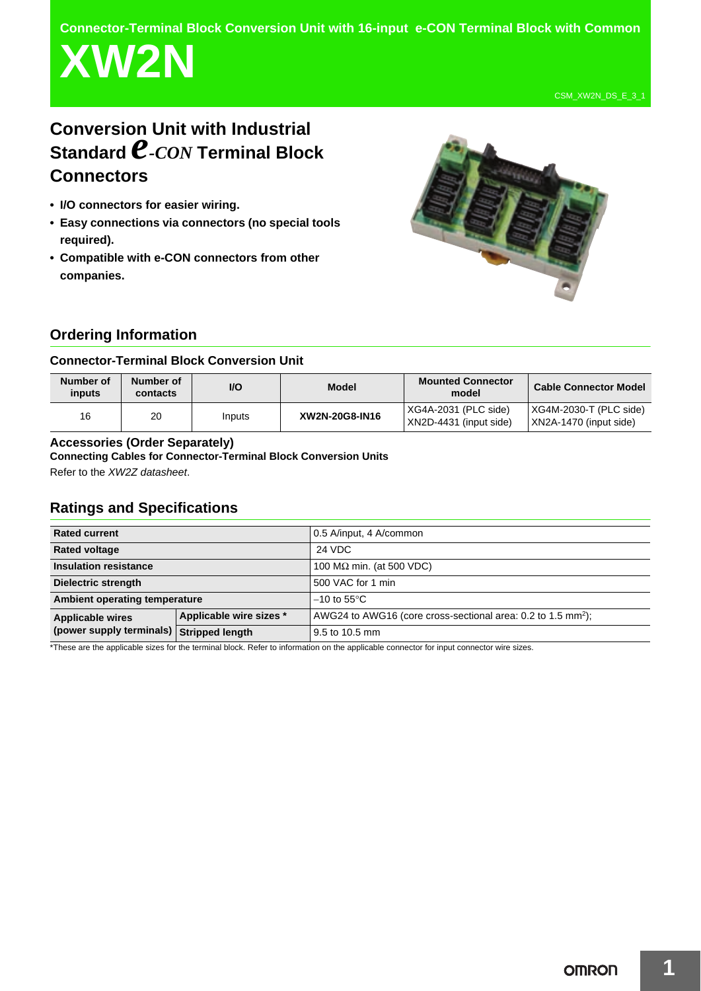**Connector-Terminal Block Conversion Unit with 16-input e-CON Terminal Block with Common**

# **XW2N**

CSM\_XW2N\_DS\_E\_3\_1

# **Conversion Unit with Industrial Standard** *e-CON* **Terminal Block Connectors**

- **I/O connectors for easier wiring.**
- **Easy connections via connectors (no special tools required).**
- **Compatible with e-CON connectors from other companies.**



# **Ordering Information**

# **Connector-Terminal Block Conversion Unit**

| Number of<br>inputs | Number of<br>contacts | <b>VO</b> | <b>Model</b>   | Mounted Connector<br>model                     | <b>Cable Connector Model</b>                     |
|---------------------|-----------------------|-----------|----------------|------------------------------------------------|--------------------------------------------------|
| 16                  | 20                    | Inputs    | XW2N-20G8-IN16 | XG4A-2031 (PLC side)<br>XN2D-4431 (input side) | XG4M-2030-T (PLC side)<br>XN2A-1470 (input side) |

## **Accessories (Order Separately)**

## **Connecting Cables for Connector-Terminal Block Conversion Units**

Refer to the *XW2Z datasheet*.

# **Ratings and Specifications**

| <b>Rated current</b>                                                |                         | 0.5 A/input, 4 A/common                                                  |  |
|---------------------------------------------------------------------|-------------------------|--------------------------------------------------------------------------|--|
| <b>Rated voltage</b>                                                |                         | 24 VDC                                                                   |  |
| <b>Insulation resistance</b>                                        |                         | 100 M $\Omega$ min. (at 500 VDC)                                         |  |
| Dielectric strength                                                 |                         | 500 VAC for 1 min                                                        |  |
| Ambient operating temperature                                       |                         | $-10$ to 55 $\mathrm{^{\circ}C}$                                         |  |
| <b>Applicable wires</b><br>(power supply terminals) Stripped length | Applicable wire sizes * | AWG24 to AWG16 (core cross-sectional area: 0.2 to 1.5 mm <sup>2</sup> ); |  |
|                                                                     |                         | 9.5 to 10.5 mm                                                           |  |

\*These are the applicable sizes for the terminal block. Refer to information on the applicable connector for input connector wire sizes.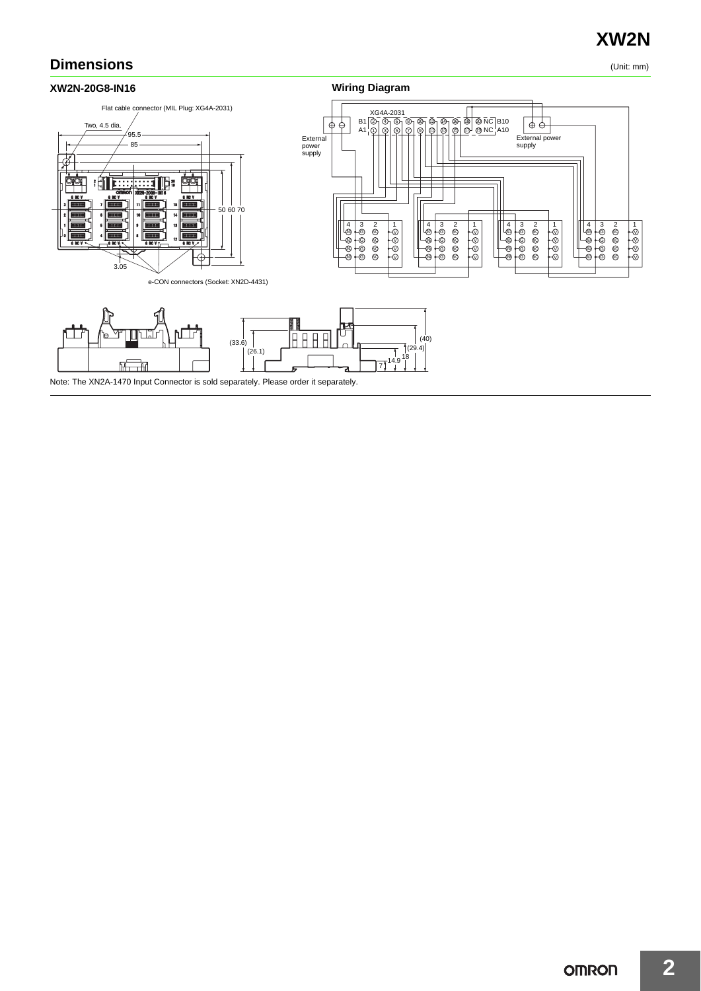# **XW2N**

# **Dimensions** (Unit: mm)

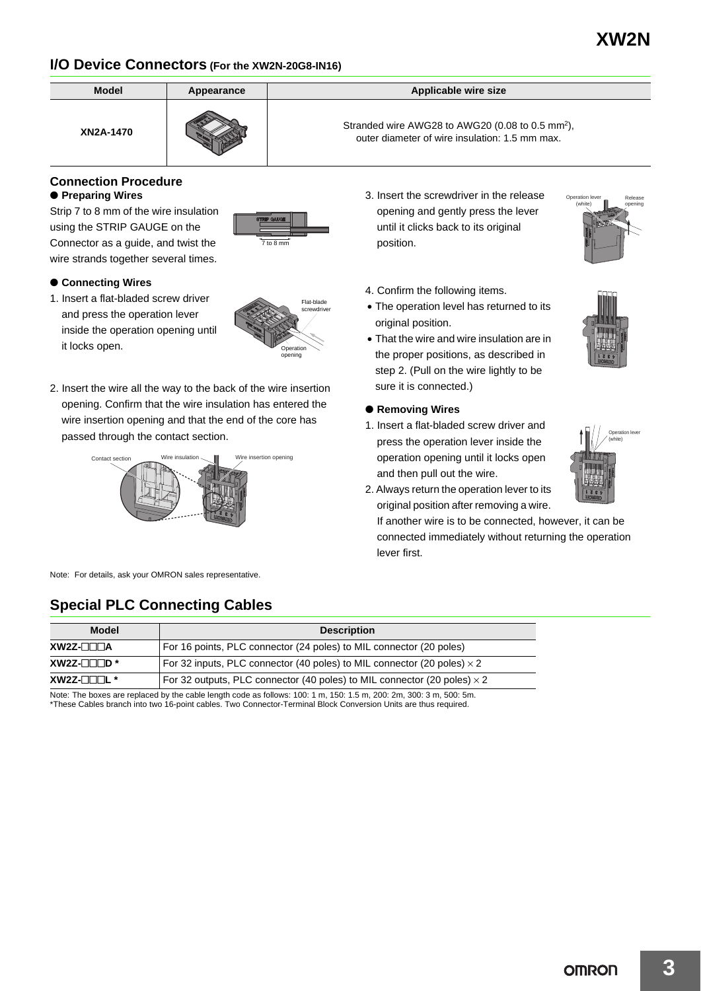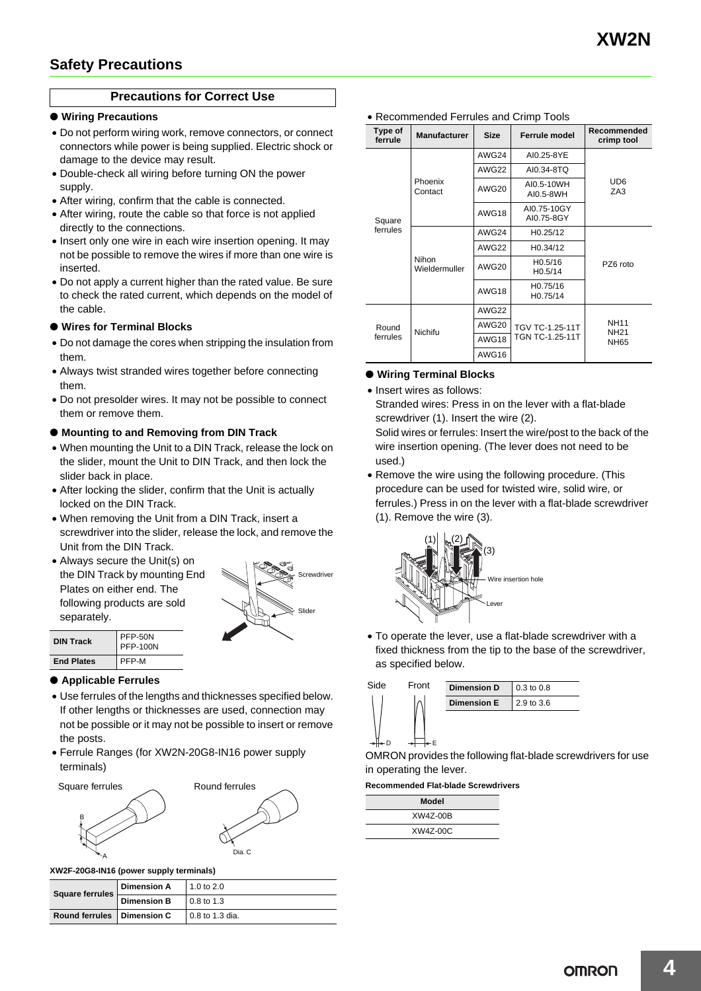# **Precautions for Correct Use**

#### ● **Wiring Precautions**

- Do not perform wiring work, remove connectors, or connect connectors while power is being supplied. Electric shock or damage to the device may result.
- Double-check all wiring before turning ON the power supply.
- After wiring, confirm that the cable is connected.
- After wiring, route the cable so that force is not applied directly to the connections.
- Insert only one wire in each wire insertion opening. It may not be possible to remove the wires if more than one wire is inserted.
- Do not apply a current higher than the rated value. Be sure to check the rated current, which depends on the model of the cable.

#### ● **Wires for Terminal Blocks**

- Do not damage the cores when stripping the insulation from them.
- Always twist stranded wires together before connecting them.
- Do not presolder wires. It may not be possible to connect them or remove them.

#### ● **Mounting to and Removing from DIN Track**

- When mounting the Unit to a DIN Track, release the lock on the slider, mount the Unit to DIN Track, and then lock the slider back in place.
- After locking the slider, confirm that the Unit is actually locked on the DIN Track.
- When removing the Unit from a DIN Track, insert a screwdriver into the slider, release the lock, and remove the Unit from the DIN Track.
- Always secure the Unit(s) on the DIN Track by mounting End Plates on either end. The following products are sold separately.



| <b>DIN Track</b>  | PFP-50N<br>PFP-100N |  |
|-------------------|---------------------|--|
| <b>End Plates</b> | PFP-M               |  |

#### ● **Applicable Ferrules**

- Use ferrules of the lengths and thicknesses specified below. If other lengths or thicknesses are used, connection may not be possible or it may not be possible to insert or remove the posts.
- Ferrule Ranges (for XW2N-20G8-IN16 power supply terminals)





**XW2F-20G8-IN16 (power supply terminals)**

| <b>Square ferrules</b>       | <b>Dimension A</b> | $1.0$ to 2.0    |
|------------------------------|--------------------|-----------------|
|                              | <b>Dimension B</b> | 0.8 to 1.3      |
| Round ferrules   Dimension C |                    | 0.8 to 1.3 dia. |

| Type of<br>ferrule | <b>Manufacturer</b>    | <b>Size</b> | Ferrule model                      | Recommended<br>crimp tool                 |
|--------------------|------------------------|-------------|------------------------------------|-------------------------------------------|
| Square             | Phoenix<br>Contact     | AWG24       | AI0.25-8YE                         | UD <sub>6</sub><br>ZA <sub>3</sub>        |
|                    |                        | AWG22       | AI0.34-8TQ                         |                                           |
|                    |                        | AWG20       | AI0.5-10WH<br>AI0.5-8WH            |                                           |
|                    |                        | AWG18       | AI0.75-10GY<br>AI0.75-8GY          |                                           |
| ferrules           | Nihon<br>Wieldermuller | AWG24       | H <sub>0.25</sub> /12              | PZ6 roto                                  |
|                    |                        | AWG22       | H0.34/12                           |                                           |
|                    |                        | AWG20       | H <sub>0.5</sub> /16<br>H0.5/14    |                                           |
|                    |                        | AWG18       | H0.75/16<br>H0.75/14               |                                           |
| Round<br>ferrules  | Nichifu                | AWG22       | TGV TC-1.25-11T<br>TGN TC-1.25-11T | <b>NH11</b><br><b>NH21</b><br><b>NH65</b> |
|                    |                        | AWG20       |                                    |                                           |
|                    |                        | AWG18       |                                    |                                           |
|                    |                        | AWG16       |                                    |                                           |

# ● **Wiring Terminal Blocks**

• Insert wires as follows:

Stranded wires: Press in on the lever with a flat-blade screwdriver (1). Insert the wire (2). Solid wires or ferrules: Insert the wire/post to the back of the

wire insertion opening. (The lever does not need to be used.)

• Remove the wire using the following procedure. (This procedure can be used for twisted wire, solid wire, or ferrules.) Press in on the lever with a flat-blade screwdriver (1). Remove the wire (3).



• To operate the lever, use a flat-blade screwdriver with a fixed thickness from the tip to the base of the screwdriver, as specified below.



OMRON provides the following flat-blade screwdrivers for use in operating the lever.

#### **Recommended Flat-blade Screwdrivers**

| Model    |  |
|----------|--|
| XW4Z-00B |  |
| XW4Z-00C |  |